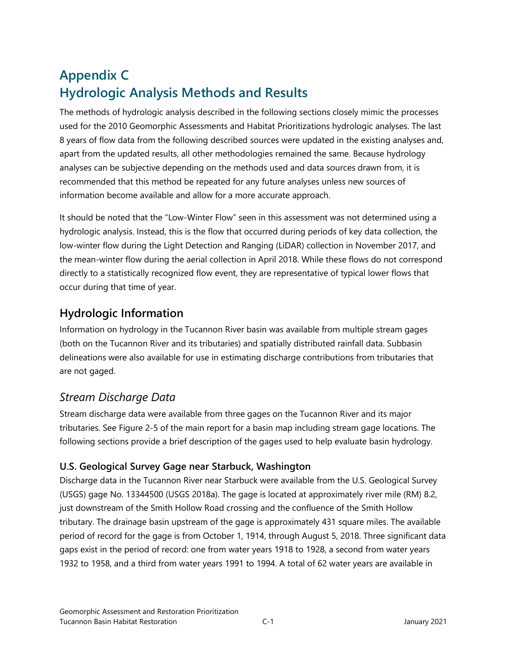# **Appendix C Hydrologic Analysis Methods and Results**

The methods of hydrologic analysis described in the following sections closely mimic the processes used for the 2010 Geomorphic Assessments and Habitat Prioritizations hydrologic analyses. The last 8 years of flow data from the following described sources were updated in the existing analyses and, apart from the updated results, all other methodologies remained the same. Because hydrology analyses can be subjective depending on the methods used and data sources drawn from, it is recommended that this method be repeated for any future analyses unless new sources of information become available and allow for a more accurate approach.

It should be noted that the "Low-Winter Flow" seen in this assessment was not determined using a hydrologic analysis. Instead, this is the flow that occurred during periods of key data collection, the low-winter flow during the Light Detection and Ranging (LiDAR) collection in November 2017, and the mean-winter flow during the aerial collection in April 2018. While these flows do not correspond directly to a statistically recognized flow event, they are representative of typical lower flows that occur during that time of year.

## **Hydrologic Information**

Information on hydrology in the Tucannon River basin was available from multiple stream gages (both on the Tucannon River and its tributaries) and spatially distributed rainfall data. Subbasin delineations were also available for use in estimating discharge contributions from tributaries that are not gaged.

## *Stream Discharge Data*

Stream discharge data were available from three gages on the Tucannon River and its major tributaries. See Figure 2-5 of the main report for a basin map including stream gage locations. The following sections provide a brief description of the gages used to help evaluate basin hydrology.

### **U.S. Geological Survey Gage near Starbuck, Washington**

Discharge data in the Tucannon River near Starbuck were available from the U.S. Geological Survey (USGS) gage No. 13344500 (USGS 2018a). The gage is located at approximately river mile (RM) 8.2, just downstream of the Smith Hollow Road crossing and the confluence of the Smith Hollow tributary. The drainage basin upstream of the gage is approximately 431 square miles. The available period of record for the gage is from October 1, 1914, through August 5, 2018. Three significant data gaps exist in the period of record: one from water years 1918 to 1928, a second from water years 1932 to 1958, and a third from water years 1991 to 1994. A total of 62 water years are available in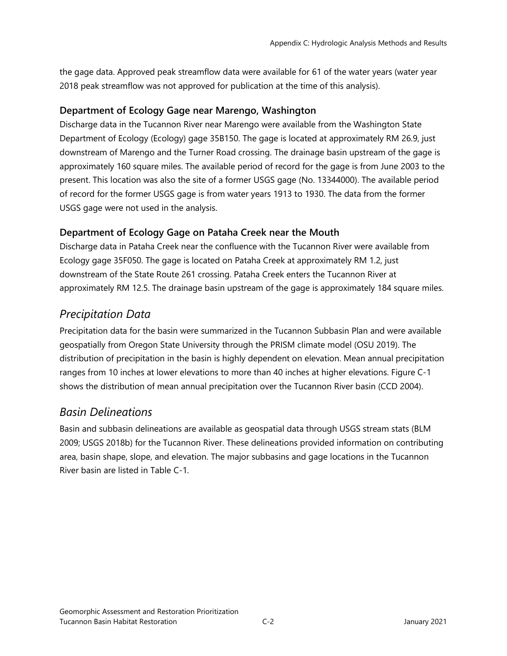the gage data. Approved peak streamflow data were available for 61 of the water years (water year 2018 peak streamflow was not approved for publication at the time of this analysis).

#### **Department of Ecology Gage near Marengo, Washington**

Discharge data in the Tucannon River near Marengo were available from the Washington State Department of Ecology (Ecology) gage 35B150. The gage is located at approximately RM 26.9, just downstream of Marengo and the Turner Road crossing. The drainage basin upstream of the gage is approximately 160 square miles. The available period of record for the gage is from June 2003 to the present. This location was also the site of a former USGS gage (No. 13344000). The available period of record for the former USGS gage is from water years 1913 to 1930. The data from the former USGS gage were not used in the analysis.

### **Department of Ecology Gage on Pataha Creek near the Mouth**

Discharge data in Pataha Creek near the confluence with the Tucannon River were available from Ecology gage 35F050. The gage is located on Pataha Creek at approximately RM 1.2, just downstream of the State Route 261 crossing. Pataha Creek enters the Tucannon River at approximately RM 12.5. The drainage basin upstream of the gage is approximately 184 square miles.

### *Precipitation Data*

Precipitation data for the basin were summarized in the Tucannon Subbasin Plan and were available geospatially from Oregon State University through the PRISM climate model (OSU 2019). The distribution of precipitation in the basin is highly dependent on elevation. Mean annual precipitation ranges from 10 inches at lower elevations to more than 40 inches at higher elevations. Figure C-1 shows the distribution of mean annual precipitation over the Tucannon River basin (CCD 2004).

### *Basin Delineations*

Basin and subbasin delineations are available as geospatial data through USGS stream stats (BLM 2009; USGS 2018b) for the Tucannon River. These delineations provided information on contributing area, basin shape, slope, and elevation. The major subbasins and gage locations in the Tucannon River basin are listed in Table C-1.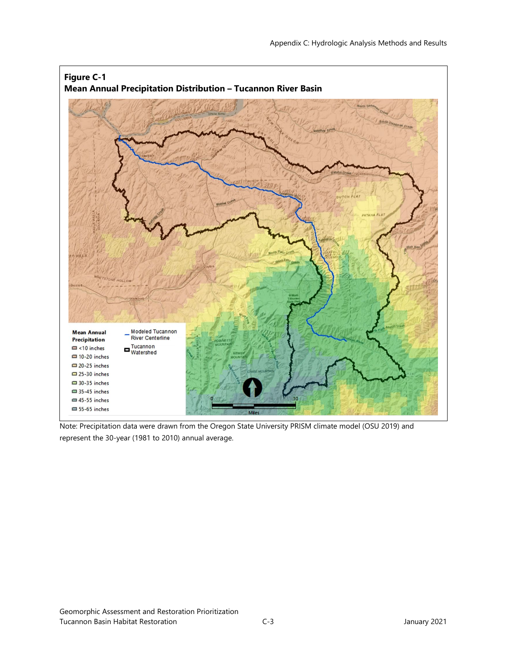

Note: Precipitation data were drawn from the Oregon State University PRISM climate model (OSU 2019) and represent the 30-year (1981 to 2010) annual average.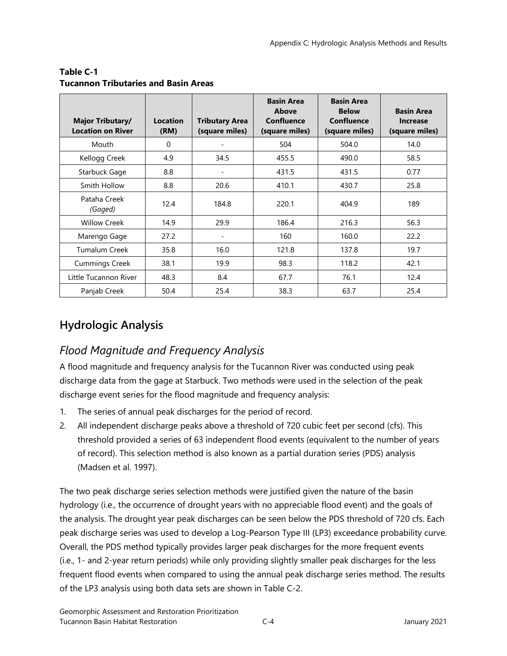| <b>Major Tributary/</b><br><b>Location on River</b> | <b>Location</b><br>(RM) | <b>Tributary Area</b><br>(square miles) | <b>Basin Area</b><br>Above<br><b>Confluence</b><br>(square miles) | <b>Basin Area</b><br><b>Below</b><br><b>Confluence</b><br>(square miles) | <b>Basin Area</b><br><b>Increase</b><br>(square miles) |
|-----------------------------------------------------|-------------------------|-----------------------------------------|-------------------------------------------------------------------|--------------------------------------------------------------------------|--------------------------------------------------------|
| Mouth                                               | $\Omega$                |                                         | 504                                                               | 504.0                                                                    | 14.0                                                   |
| Kellogg Creek                                       | 4.9                     | 34.5                                    | 455.5                                                             | 490.0                                                                    | 58.5                                                   |
| Starbuck Gage                                       | 8.8                     | $\overline{\phantom{a}}$                | 431.5                                                             | 431.5                                                                    | 0.77                                                   |
| Smith Hollow                                        | 8.8                     | 20.6                                    | 410.1                                                             | 430.7                                                                    | 25.8                                                   |
| Pataha Creek<br>(Gaged)                             | 12.4                    | 184.8                                   | 220.1                                                             | 404.9                                                                    | 189                                                    |
| <b>Willow Creek</b>                                 | 14.9                    | 29.9                                    | 186.4                                                             | 216.3                                                                    | 56.3                                                   |
| Marengo Gage                                        | 27.2                    |                                         | 160                                                               | 160.0                                                                    | 22.2                                                   |
| <b>Tumalum Creek</b>                                | 35.8                    | 16.0                                    | 121.8                                                             | 137.8                                                                    | 19.7                                                   |
| <b>Cummings Creek</b>                               | 38.1                    | 19.9                                    | 98.3                                                              | 118.2                                                                    | 42.1                                                   |
| Little Tucannon River                               | 48.3                    | 8.4                                     | 67.7                                                              | 76.1                                                                     | 12.4                                                   |
| Panjab Creek                                        | 50.4                    | 25.4                                    | 38.3                                                              | 63.7                                                                     | 25.4                                                   |

#### **Table C-1 Tucannon Tributaries and Basin Areas**

## **Hydrologic Analysis**

## *Flood Magnitude and Frequency Analysis*

A flood magnitude and frequency analysis for the Tucannon River was conducted using peak discharge data from the gage at Starbuck. Two methods were used in the selection of the peak discharge event series for the flood magnitude and frequency analysis:

- 1. The series of annual peak discharges for the period of record.
- 2. All independent discharge peaks above a threshold of 720 cubic feet per second (cfs). This threshold provided a series of 63 independent flood events (equivalent to the number of years of record). This selection method is also known as a partial duration series (PDS) analysis (Madsen et al. 1997).

The two peak discharge series selection methods were justified given the nature of the basin hydrology (i.e., the occurrence of drought years with no appreciable flood event) and the goals of the analysis. The drought year peak discharges can be seen below the PDS threshold of 720 cfs. Each peak discharge series was used to develop a Log-Pearson Type III (LP3) exceedance probability curve. Overall, the PDS method typically provides larger peak discharges for the more frequent events (i.e., 1- and 2-year return periods) while only providing slightly smaller peak discharges for the less frequent flood events when compared to using the annual peak discharge series method. The results of the LP3 analysis using both data sets are shown in Table C-2.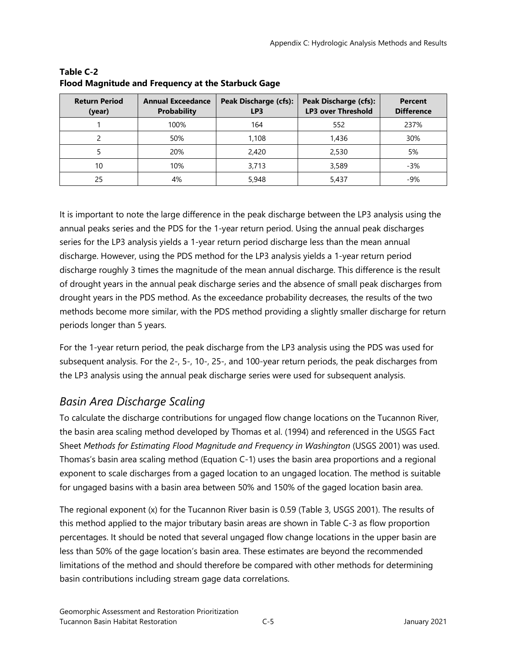| <b>Return Period</b><br>(year) | <b>Annual Exceedance</b><br><b>Probability</b> | Peak Discharge (cfs):<br>LP <sub>3</sub> | <b>Peak Discharge (cfs):</b><br><b>LP3 over Threshold</b> | <b>Percent</b><br><b>Difference</b> |
|--------------------------------|------------------------------------------------|------------------------------------------|-----------------------------------------------------------|-------------------------------------|
|                                | 100%                                           | 164                                      | 552                                                       | 237%                                |
|                                | 50%                                            | 1,108                                    | 1,436                                                     | 30%                                 |
|                                | 20%                                            | 2,420                                    | 2,530                                                     | 5%                                  |
| 10                             | 10%                                            | 3,713                                    | 3,589                                                     | $-3%$                               |
| 25                             | 4%                                             | 5,948                                    | 5.437                                                     | $-9%$                               |

**Table C-2 Flood Magnitude and Frequency at the Starbuck Gage**

It is important to note the large difference in the peak discharge between the LP3 analysis using the annual peaks series and the PDS for the 1-year return period. Using the annual peak discharges series for the LP3 analysis yields a 1-year return period discharge less than the mean annual discharge. However, using the PDS method for the LP3 analysis yields a 1-year return period discharge roughly 3 times the magnitude of the mean annual discharge. This difference is the result of drought years in the annual peak discharge series and the absence of small peak discharges from drought years in the PDS method. As the exceedance probability decreases, the results of the two methods become more similar, with the PDS method providing a slightly smaller discharge for return periods longer than 5 years.

For the 1-year return period, the peak discharge from the LP3 analysis using the PDS was used for subsequent analysis. For the 2-, 5-, 10-, 25-, and 100-year return periods, the peak discharges from the LP3 analysis using the annual peak discharge series were used for subsequent analysis.

## *Basin Area Discharge Scaling*

To calculate the discharge contributions for ungaged flow change locations on the Tucannon River, the basin area scaling method developed by Thomas et al. (1994) and referenced in the USGS Fact Sheet *Methods for Estimating Flood Magnitude and Frequency in Washington* (USGS 2001) was used. Thomas's basin area scaling method (Equation C-1) uses the basin area proportions and a regional exponent to scale discharges from a gaged location to an ungaged location. The method is suitable for ungaged basins with a basin area between 50% and 150% of the gaged location basin area.

The regional exponent (x) for the Tucannon River basin is 0.59 (Table 3, USGS 2001). The results of this method applied to the major tributary basin areas are shown in Table C-3 as flow proportion percentages. It should be noted that several ungaged flow change locations in the upper basin are less than 50% of the gage location's basin area. These estimates are beyond the recommended limitations of the method and should therefore be compared with other methods for determining basin contributions including stream gage data correlations.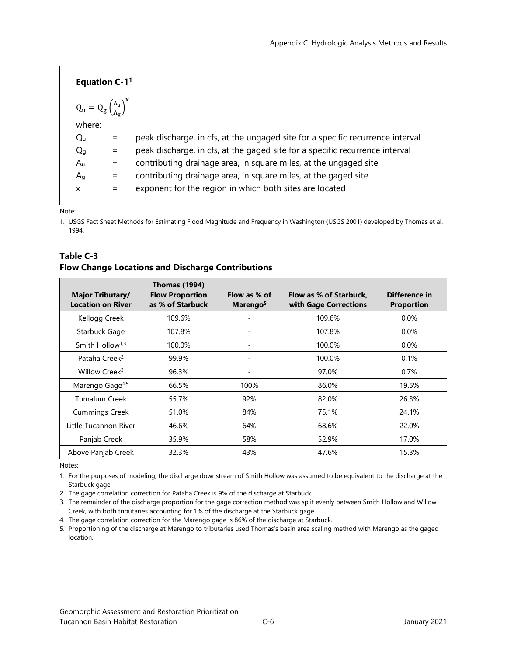| Equation $C-1$ <sup>1</sup>                                              |     |                                                                                |
|--------------------------------------------------------------------------|-----|--------------------------------------------------------------------------------|
| $Q_{\rm u} = Q_{\rm g} \left(\frac{A_{\rm u}}{A_{\rm g}}\right)^{\rm x}$ |     |                                                                                |
| where:                                                                   |     |                                                                                |
| $Q_{u}$                                                                  |     | peak discharge, in cfs, at the ungaged site for a specific recurrence interval |
| Q <sub>q</sub>                                                           | $=$ | peak discharge, in cfs, at the gaged site for a specific recurrence interval   |
| $A_{\rm u}$                                                              | $=$ | contributing drainage area, in square miles, at the ungaged site               |
| $A_q$                                                                    |     | contributing drainage area, in square miles, at the gaged site                 |
| X                                                                        | $=$ | exponent for the region in which both sites are located                        |
|                                                                          |     |                                                                                |

Note:

1. USGS Fact Sheet Methods for Estimating Flood Magnitude and Frequency in Washington (USGS 2001) developed by Thomas et al. 1994.

| <b>Major Tributary/</b><br><b>Location on River</b> | <b>Thomas (1994)</b><br><b>Flow Proportion</b><br>as % of Starbuck | Flow as % of<br>Marengo <sup>5</sup> | Flow as % of Starbuck.<br>with Gage Corrections | Difference in<br><b>Proportion</b> |
|-----------------------------------------------------|--------------------------------------------------------------------|--------------------------------------|-------------------------------------------------|------------------------------------|
| Kellogg Creek                                       | 109.6%                                                             |                                      | 109.6%                                          | $0.0\%$                            |
| Starbuck Gage                                       | 107.8%                                                             |                                      | 107.8%                                          | $0.0\%$                            |
| Smith Hollow <sup>1,3</sup>                         | 100.0%                                                             | $\overline{\phantom{a}}$             | 100.0%                                          | 0.0%                               |
| Pataha Creek <sup>2</sup>                           | 99.9%                                                              |                                      | 100.0%                                          | 0.1%                               |
| Willow Creek <sup>3</sup>                           | 96.3%                                                              |                                      | 97.0%                                           | 0.7%                               |
| Marengo Gage <sup>4,5</sup>                         | 66.5%                                                              | 100%                                 | 86.0%                                           | 19.5%                              |
| Tumalum Creek                                       | 55.7%                                                              | 92%                                  | 82.0%                                           | 26.3%                              |
| <b>Cummings Creek</b>                               | 51.0%                                                              | 84%                                  | 75.1%                                           | 24.1%                              |
| Little Tucannon River                               | 46.6%                                                              | 64%                                  | 68.6%                                           | 22.0%                              |
| Panjab Creek                                        | 35.9%                                                              | 58%                                  | 52.9%                                           | 17.0%                              |
| Above Panjab Creek                                  | 32.3%                                                              | 43%                                  | 47.6%                                           | 15.3%                              |

#### **Table C-3 Flow Change Locations and Discharge Contributions**

Notes:

1. For the purposes of modeling, the discharge downstream of Smith Hollow was assumed to be equivalent to the discharge at the Starbuck gage.

2. The gage correlation correction for Pataha Creek is 9% of the discharge at Starbuck.

3. The remainder of the discharge proportion for the gage correction method was split evenly between Smith Hollow and Willow Creek, with both tributaries accounting for 1% of the discharge at the Starbuck gage.

4. The gage correlation correction for the Marengo gage is 86% of the discharge at Starbuck.

5. Proportioning of the discharge at Marengo to tributaries used Thomas's basin area scaling method with Marengo as the gaged location.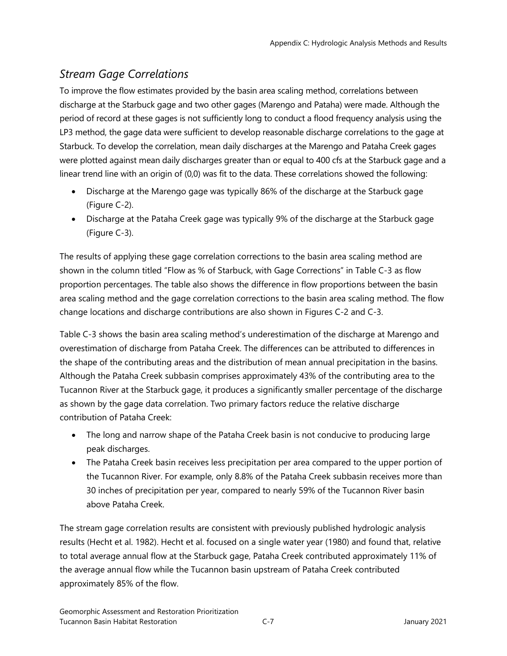## *Stream Gage Correlations*

To improve the flow estimates provided by the basin area scaling method, correlations between discharge at the Starbuck gage and two other gages (Marengo and Pataha) were made. Although the period of record at these gages is not sufficiently long to conduct a flood frequency analysis using the LP3 method, the gage data were sufficient to develop reasonable discharge correlations to the gage at Starbuck. To develop the correlation, mean daily discharges at the Marengo and Pataha Creek gages were plotted against mean daily discharges greater than or equal to 400 cfs at the Starbuck gage and a linear trend line with an origin of (0,0) was fit to the data. These correlations showed the following:

- Discharge at the Marengo gage was typically 86% of the discharge at the Starbuck gage (Figure C-2).
- Discharge at the Pataha Creek gage was typically 9% of the discharge at the Starbuck gage (Figure C-3).

The results of applying these gage correlation corrections to the basin area scaling method are shown in the column titled "Flow as % of Starbuck, with Gage Corrections" in Table C-3 as flow proportion percentages. The table also shows the difference in flow proportions between the basin area scaling method and the gage correlation corrections to the basin area scaling method. The flow change locations and discharge contributions are also shown in Figures C-2 and C-3.

Table C-3 shows the basin area scaling method's underestimation of the discharge at Marengo and overestimation of discharge from Pataha Creek. The differences can be attributed to differences in the shape of the contributing areas and the distribution of mean annual precipitation in the basins. Although the Pataha Creek subbasin comprises approximately 43% of the contributing area to the Tucannon River at the Starbuck gage, it produces a significantly smaller percentage of the discharge as shown by the gage data correlation. Two primary factors reduce the relative discharge contribution of Pataha Creek:

- The long and narrow shape of the Pataha Creek basin is not conducive to producing large peak discharges.
- The Pataha Creek basin receives less precipitation per area compared to the upper portion of the Tucannon River. For example, only 8.8% of the Pataha Creek subbasin receives more than 30 inches of precipitation per year, compared to nearly 59% of the Tucannon River basin above Pataha Creek.

The stream gage correlation results are consistent with previously published hydrologic analysis results (Hecht et al. 1982). Hecht et al. focused on a single water year (1980) and found that, relative to total average annual flow at the Starbuck gage, Pataha Creek contributed approximately 11% of the average annual flow while the Tucannon basin upstream of Pataha Creek contributed approximately 85% of the flow.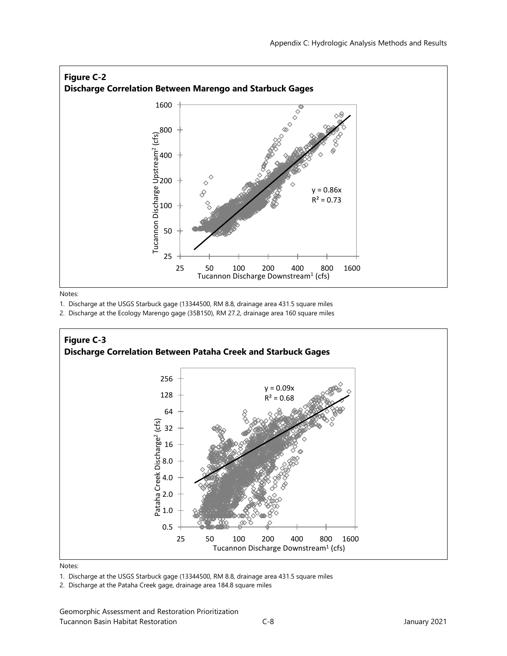

Notes:

1. Discharge at the USGS Starbuck gage (13344500, RM 8.8, drainage area 431.5 square miles

2. Discharge at the Ecology Marengo gage (35B150), RM 27.2, drainage area 160 square miles



#### Notes:

1. Discharge at the USGS Starbuck gage (13344500, RM 8.8, drainage area 431.5 square miles

2. Discharge at the Pataha Creek gage, drainage area 184.8 square miles

Geomorphic Assessment and Restoration Prioritization Tucannon Basin Habitat Restoration C-8 January 2021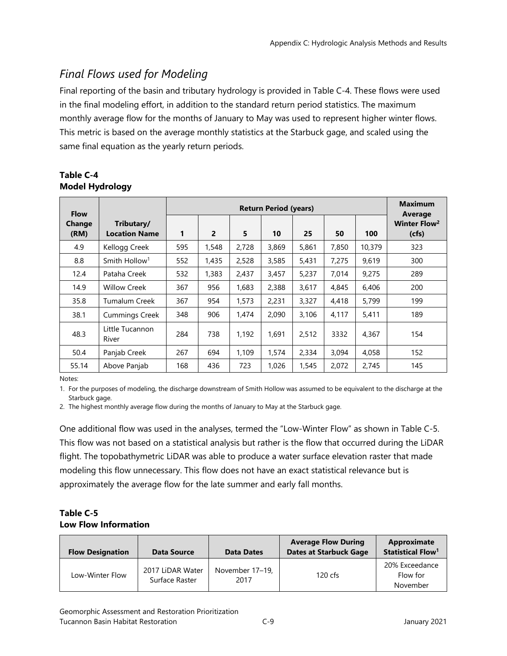## *Final Flows used for Modeling*

Final reporting of the basin and tributary hydrology is provided in Table C-4. These flows were used in the final modeling effort, in addition to the standard return period statistics. The maximum monthly average flow for the months of January to May was used to represent higher winter flows. This metric is based on the average monthly statistics at the Starbuck gage, and scaled using the same final equation as the yearly return periods.

| Table C-4 |                        |
|-----------|------------------------|
|           | <b>Model Hydrology</b> |

| <b>Flow</b>    |                                    | <b>Return Period (years)</b> |                |       |       |       |       |        | <b>Maximum</b><br>Average         |
|----------------|------------------------------------|------------------------------|----------------|-------|-------|-------|-------|--------|-----------------------------------|
| Change<br>(RM) | Tributary/<br><b>Location Name</b> | 1                            | $\overline{2}$ | 5     | 10    | 25    | 50    | 100    | Winter Flow <sup>2</sup><br>(cfs) |
| 4.9            | Kellogg Creek                      | 595                          | 1,548          | 2,728 | 3,869 | 5,861 | 7,850 | 10,379 | 323                               |
| 8.8            | Smith Hollow <sup>1</sup>          | 552                          | 1,435          | 2,528 | 3,585 | 5,431 | 7,275 | 9,619  | 300                               |
| 12.4           | Pataha Creek                       | 532                          | 1,383          | 2,437 | 3,457 | 5,237 | 7,014 | 9,275  | 289                               |
| 14.9           | <b>Willow Creek</b>                | 367                          | 956            | 1,683 | 2,388 | 3,617 | 4,845 | 6,406  | 200                               |
| 35.8           | <b>Tumalum Creek</b>               | 367                          | 954            | 1,573 | 2,231 | 3,327 | 4,418 | 5,799  | 199                               |
| 38.1           | <b>Cummings Creek</b>              | 348                          | 906            | 1,474 | 2,090 | 3,106 | 4,117 | 5,411  | 189                               |
| 48.3           | Little Tucannon<br>River           | 284                          | 738            | 1,192 | 1,691 | 2,512 | 3332  | 4,367  | 154                               |
| 50.4           | Panjab Creek                       | 267                          | 694            | 1,109 | 1,574 | 2,334 | 3,094 | 4,058  | 152                               |
| 55.14          | Above Panjab                       | 168                          | 436            | 723   | 1.026 | 1,545 | 2,072 | 2,745  | 145                               |

Notes:

1. For the purposes of modeling, the discharge downstream of Smith Hollow was assumed to be equivalent to the discharge at the Starbuck gage.

2. The highest monthly average flow during the months of January to May at the Starbuck gage.

One additional flow was used in the analyses, termed the "Low-Winter Flow" as shown in Table C-5. This flow was not based on a statistical analysis but rather is the flow that occurred during the LiDAR flight. The topobathymetric LiDAR was able to produce a water surface elevation raster that made modeling this flow unnecessary. This flow does not have an exact statistical relevance but is approximately the average flow for the late summer and early fall months.

#### **Table C-5 Low Flow Information**

| <b>Flow Designation</b> | <b>Data Source</b>                 | <b>Data Dates</b>       | <b>Average Flow During</b><br><b>Dates at Starbuck Gage</b> | Approximate<br>Statistical Flow <sup>1</sup> |
|-------------------------|------------------------------------|-------------------------|-------------------------------------------------------------|----------------------------------------------|
| Low-Winter Flow         | 2017 LiDAR Water<br>Surface Raster | November 17-19,<br>2017 | $120 \text{ cfs}$                                           | 20% Exceedance<br>Flow for<br>November       |